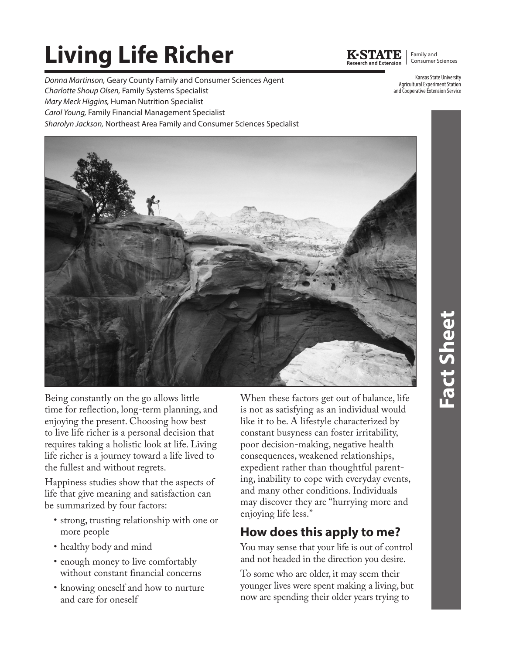# **Living Life Richer**

*Donna Martinson,* Geary County Family and Consumer Sciences Agent *Charlotte Shoup Olsen,* Family Systems Specialist *Mary Meck Higgins,* Human Nutrition Specialist *Carol Young,* Family Financial Management Specialist *Sharolyn Jackson,* Northeast Area Family and Consumer Sciences Specialist



Family and Consumer Sciences

Kansas State University Agricultural Experiment Station and Cooperative Extension Service



Being constantly on the go allows little time for reflection, long-term planning, and enjoying the present. Choosing how best to live life richer is a personal decision that requires taking a holistic look at life. Living life richer is a journey toward a life lived to the fullest and without regrets.

Happiness studies show that the aspects of life that give meaning and satisfaction can be summarized by four factors:

- strong, trusting relationship with one or more people
- healthy body and mind
- enough money to live comfortably without constant financial concerns
- knowing oneself and how to nurture and care for oneself

When these factors get out of balance, life is not as satisfying as an individual would like it to be. A lifestyle characterized by constant busyness can foster irritability, poor decision-making, negative health consequences, weakened relationships, expedient rather than thoughtful parenting, inability to cope with everyday events, and many other conditions. Individuals may discover they are "hurrying more and enjoying life less."

# **How does this apply to me?**

You may sense that your life is out of control and not headed in the direction you desire.

To some who are older, it may seem their younger lives were spent making a living, but now are spending their older years trying to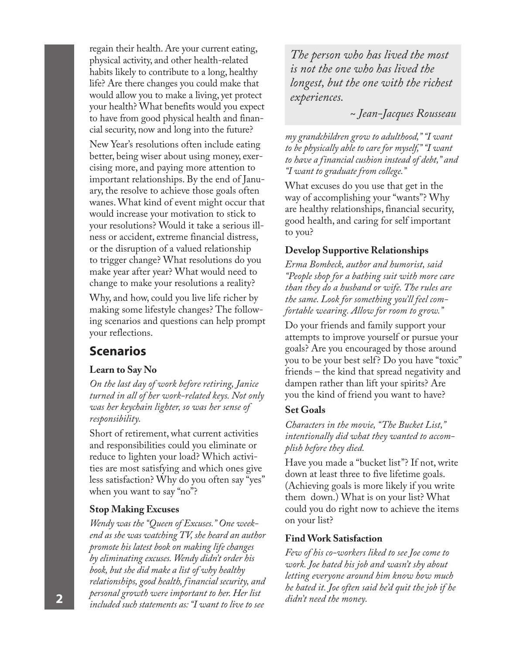regain their health. Are your current eating, physical activity, and other health-related habits likely to contribute to a long, healthy life? Are there changes you could make that would allow you to make a living, yet protect your health? What benefits would you expect to have from good physical health and financial security, now and long into the future?

New Year's resolutions often include eating better, being wiser about using money, exercising more, and paying more attention to important relationships. By the end of January, the resolve to achieve those goals often wanes. What kind of event might occur that would increase your motivation to stick to your resolutions? Would it take a serious illness or accident, extreme financial distress, or the disruption of a valued relationship to trigger change? What resolutions do you make year after year? What would need to change to make your resolutions a reality?

Why, and how, could you live life richer by making some lifestyle changes? The following scenarios and questions can help prompt your reflections.

### **Scenarios**

#### **Learn to Say No**

*On the last day of work before retiring, Janice turned in all of her work-related keys. Not only was her keychain lighter, so was her sense of responsibility.*

Short of retirement, what current activities and responsibilities could you eliminate or reduce to lighten your load? Which activities are most satisfying and which ones give less satisfaction? Why do you often say "yes" when you want to say "no"?

### **Stop Making Excuses**

*Wendy was the "Queen of Excuses." One weekend as she was watching TV, she heard an author promote his latest book on making life changes by eliminating excuses. Wendy didn't order his book, but she did make a list of why healthy relationships, good health, financial security, and personal growth were important to her. Her list included such statements as: "I want to live to see*  **2** *didn't need the money.*

*The person who has lived the most is not the one who has lived the longest, but the one with the richest experiences.* 

*~ Jean-Jacques Rousseau*

*my grandchildren grow to adulthood," "I want to be physically able to care for myself," "I want to have a financial cushion instead of debt," and "I want to graduate from college."* 

What excuses do you use that get in the way of accomplishing your "wants"? Why are healthy relationships, financial security, good health, and caring for self important to you?

### **Develop Supportive Relationships**

*Erma Bombeck, author and humorist, said "People shop for a bathing suit with more care than they do a husband or wife. The rules are the same. Look for something you'll feel comfortable wearing. Allow for room to grow."*

Do your friends and family support your attempts to improve yourself or pursue your goals? Are you encouraged by those around you to be your best self? Do you have "toxic" friends – the kind that spread negativity and dampen rather than lift your spirits? Are you the kind of friend you want to have?

### **Set Goals**

*Characters in the movie, "The Bucket List," intentionally did what they wanted to accomplish before they died.* 

Have you made a "bucket list"? If not, write down at least three to five lifetime goals. (Achieving goals is more likely if you write them down.) What is on your list? What could you do right now to achieve the items on your list?

### **Find Work Satisfaction**

*Few of his co-workers liked to see Joe come to work. Joe hated his job and wasn't shy about letting everyone around him know how much he hated it. Joe often said he'd quit the job if he*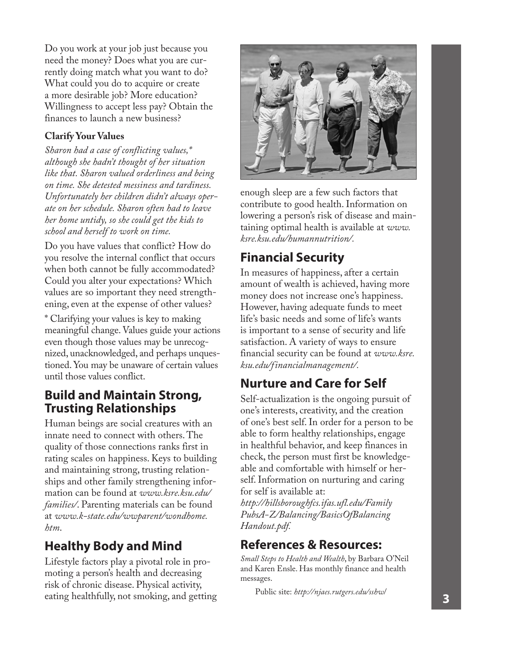Do you work at your job just because you need the money? Does what you are currently doing match what you want to do? What could you do to acquire or create a more desirable job? More education? Willingness to accept less pay? Obtain the finances to launch a new business?

### **Clarify Your Values**

*Sharon had a case of conflicting values,\* although she hadn't thought of her situation like that. Sharon valued orderliness and being on time. She detested messiness and tardiness. Unfortunately her children didn't always operate on her schedule. Sharon often had to leave her home untidy, so she could get the kids to school and herself to work on time.* 

Do you have values that conflict? How do you resolve the internal conflict that occurs when both cannot be fully accommodated? Could you alter your expectations? Which values are so important they need strengthening, even at the expense of other values?

\* Clarifying your values is key to making meaningful change. Values guide your actions even though those values may be unrecognized, unacknowledged, and perhaps unquestioned. You may be unaware of certain values until those values conflict.

### **Build and Maintain Strong, Trusting Relationships**

Human beings are social creatures with an innate need to connect with others. The quality of those connections ranks first in rating scales on happiness. Keys to building and maintaining strong, trusting relationships and other family strengthening information can be found at *www.ksre.ksu.edu/ families/*. Parenting materials can be found at *www.k-state.edu/wwparent/wondhome. htm*.

# **Healthy Body and Mind**

Lifestyle factors play a pivotal role in promoting a person's health and decreasing risk of chronic disease. Physical activity, eating healthfully, not smoking, and getting



enough sleep are a few such factors that contribute to good health. Information on lowering a person's risk of disease and maintaining optimal health is available at *www. ksre.ksu.edu/humannutrition/.* 

# **Financial Security**

In measures of happiness, after a certain amount of wealth is achieved, having more money does not increase one's happiness. However, having adequate funds to meet life's basic needs and some of life's wants is important to a sense of security and life satisfaction. A variety of ways to ensure financial security can be found at *www.ksre. ksu.edu/financialmanagement/.*

# **Nurture and Care for Self**

Self-actualization is the ongoing pursuit of one's interests, creativity, and the creation of one's best self. In order for a person to be able to form healthy relationships, engage in healthful behavior, and keep finances in check, the person must first be knowledgeable and comfortable with himself or herself. Information on nurturing and caring for self is available at:

*http://hillsboroughfcs.ifas.ufl.edu/Family PubsA-Z/Balancing/BasicsOfBalancing Handout.pdf.*

### **References & Resources:**

*Small Steps to Health and Wealth*, by Barbara O'Neil and Karen Ensle. Has monthly finance and health messages.

Public site: *http://njaes.rutgers.edu/sshw*/